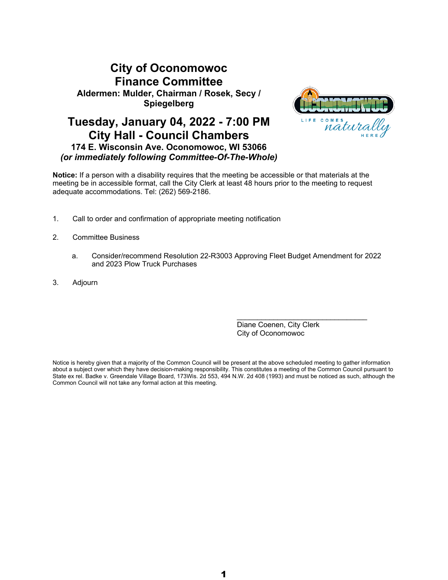# **City of Oconomowoc Finance Committee Aldermen: Mulder, Chairman / Rosek, Secy / Spiegelberg**

# **Tuesday, January 04, 2022 - 7:00 PM City Hall - Council Chambers 174 E. Wisconsin Ave. Oconomowoc, WI 53066** *(or immediately following Committee-Of-The-Whole)*



**Notice:** If a person with a disability requires that the meeting be accessible or that materials at the meeting be in accessible format, call the City Clerk at least 48 hours prior to the meeting to request adequate accommodations. Tel: (262) 569-2186.

- 1. Call to order and confirmation of appropriate meeting notification
- 2. Committee Business
	- a. Consider/recommend Resolution 22-R3003 Approving Fleet Budget Amendment for 2022 and 2023 Plow Truck Purchases
- 3. Adjourn

Diane Coenen, City Clerk City of Oconomowoc

\_\_\_\_\_\_\_\_\_\_\_\_\_\_\_\_\_\_\_\_\_\_\_\_\_\_\_\_\_\_\_\_

Notice is hereby given that a majority of the Common Council will be present at the above scheduled meeting to gather information about a subject over which they have decision-making responsibility. This constitutes a meeting of the Common Council pursuant to State ex rel. Badke v. Greendale Village Board, 173Wis. 2d 553, 494 N.W. 2d 408 (1993) and must be noticed as such, although the Common Council will not take any formal action at this meeting.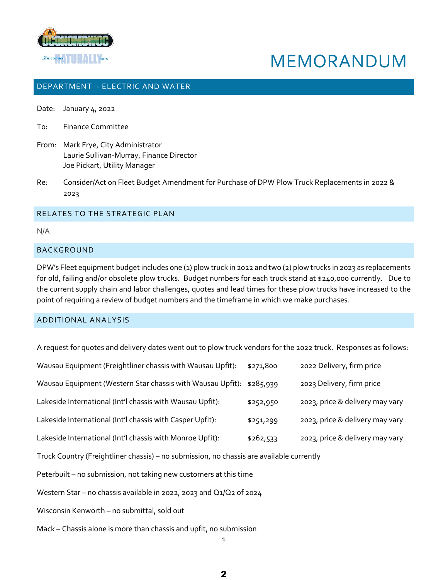

# MEMORANDUM

# DEPARTMENT - ELECTRIC AND WATER

- Date: January 4, 2022
- To: Finance Committee
- From: Mark Frye, City Administrator Laurie Sullivan-Murray, Finance Director Joe Pickart, Utility Manager
- Re: Consider/Act on Fleet Budget Amendment for Purchase of DPW Plow Truck Replacements in 2022 & 2023

#### RELATES TO THE STRATEGIC PLAN

N/A

# BACKGROUND

DPW's Fleet equipment budget includes one (1) plow truck in 2022 and two (2) plow trucks in 2023 as replacements for old, failing and/or obsolete plow trucks. Budget numbers for each truck stand at \$240,000 currently. Due to the current supply chain and labor challenges, quotes and lead times for these plow trucks have increased to the point of requiring a review of budget numbers and the timeframe in which we make purchases.

#### ADDITIONAL ANALYSIS

A request for quotes and delivery dates went out to plow truck vendors for the 2022 truck. Responses as follows:

| Wausau Equipment (Freightliner chassis with Wausau Upfit):           | \$271,800 | 2022 Delivery, firm price       |
|----------------------------------------------------------------------|-----------|---------------------------------|
| Wausau Equipment (Western Star chassis with Wausau Upfit): \$285,939 |           | 2023 Delivery, firm price       |
| Lakeside International (Int'l chassis with Wausau Upfit):            | \$252,950 | 2023, price & delivery may vary |
| Lakeside International (Int'l chassis with Casper Upfit):            | \$251,299 | 2023, price & delivery may vary |
| Lakeside International (Int'l chassis with Monroe Upfit):            | \$262,533 | 2023, price & delivery may vary |

Truck Country (Freightliner chassis) – no submission, no chassis are available currently

Peterbuilt – no submission, not taking new customers at this time

Western Star – no chassis available in 2022, 2023 and Q1/Q2 of 2024

Wisconsin Kenworth – no submittal, sold out

Mack – Chassis alone is more than chassis and upfit, no submission

1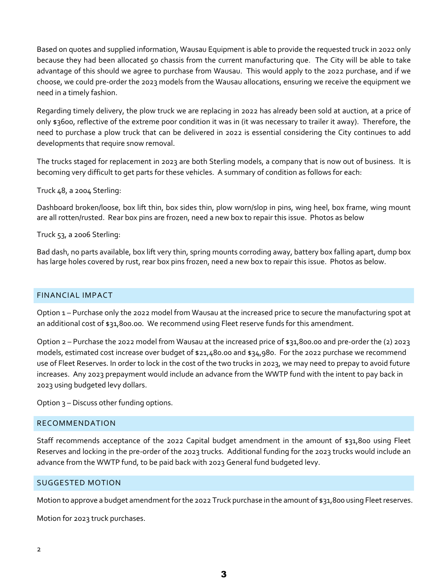Based on quotes and supplied information, Wausau Equipment is able to provide the requested truck in 2022 only because they had been allocated 50 chassis from the current manufacturing que. The City will be able to take advantage of this should we agree to purchase from Wausau. This would apply to the 2022 purchase, and if we choose, we could pre-order the 2023 models from the Wausau allocations, ensuring we receive the equipment we need in a timely fashion.

Regarding timely delivery, the plow truck we are replacing in 2022 has already been sold at auction, at a price of only \$3600, reflective of the extreme poor condition it was in (it was necessary to trailer it away). Therefore, the need to purchase a plow truck that can be delivered in 2022 is essential considering the City continues to add developments that require snow removal.

The trucks staged for replacement in 2023 are both Sterling models, a company that is now out of business. It is becoming very difficult to get parts for these vehicles. A summary of condition as follows for each:

Truck 48, a 2004 Sterling:

Dashboard broken/loose, box lift thin, box sides thin, plow worn/slop in pins, wing heel, box frame, wing mount are all rotten/rusted. Rear box pins are frozen, need a new box to repair this issue. Photos as below

Truck 53, a 2006 Sterling:

Bad dash, no parts available, box lift very thin, spring mounts corroding away, battery box falling apart, dump box has large holes covered by rust, rear box pins frozen, need a new box to repair this issue. Photos as below.

# FINANCIAL IMPACT

Option 1 – Purchase only the 2022 model from Wausau at the increased price to secure the manufacturing spot at an additional cost of \$31,800.00. We recommend using Fleet reserve funds for this amendment.

Option 2 – Purchase the 2022 model from Wausau at the increased price of \$31,800.00 and pre-order the (2) 2023 models, estimated cost increase over budget of \$21,480.00 and \$34,980. For the 2022 purchase we recommend use of Fleet Reserves. In order to lock in the cost of the two trucks in 2023, we may need to prepay to avoid future increases. Any 2023 prepayment would include an advance from the WWTP fund with the intent to pay back in 2023 using budgeted levy dollars.

Option 3 – Discuss other funding options.

#### RECOMMENDATION

Staff recommends acceptance of the 2022 Capital budget amendment in the amount of \$31,800 using Fleet Reserves and locking in the pre-order of the 2023 trucks. Additional funding for the 2023 trucks would include an advance from the WWTP fund, to be paid back with 2023 General fund budgeted levy.

#### SUGGESTED MOTION

Motion to approve a budget amendment for the 2022 Truck purchase in the amount of \$31,800 using Fleet reserves.

Motion for 2023 truck purchases.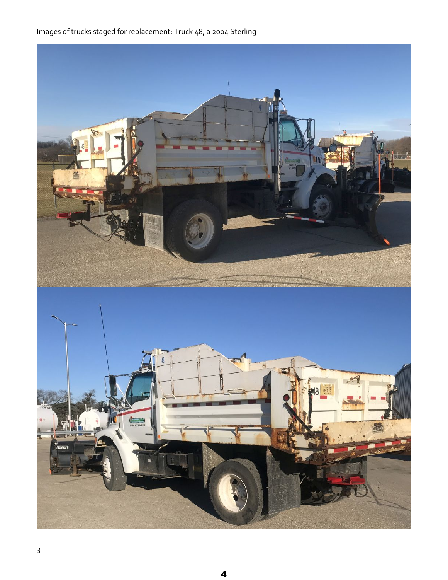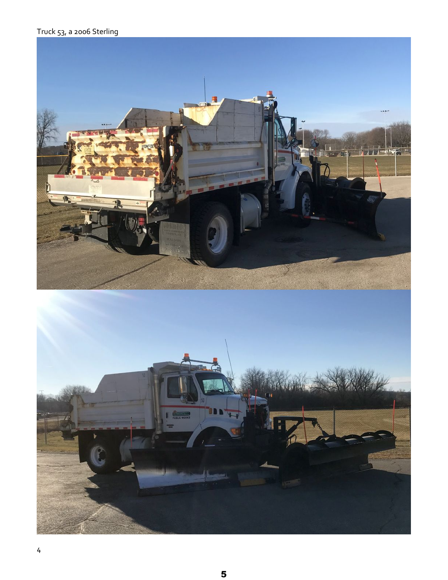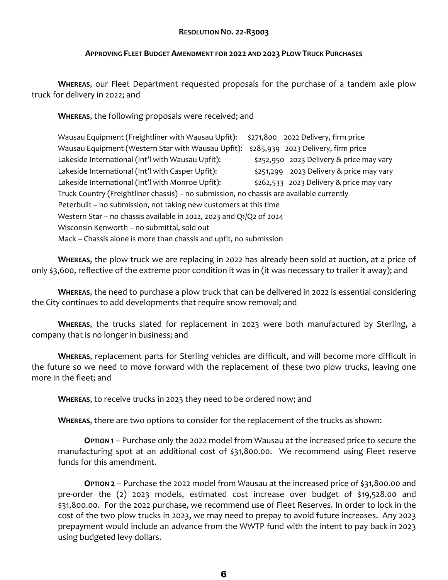# **RESOLUTION NO. 22-R3003**

### **APPROVING FLEET BUDGET AMENDMENT FOR 2022 AND 2023 PLOW TRUCK PURCHASES**

**WHEREAS**, our Fleet Department requested proposals for the purchase of a tandem axle plow truck for delivery in 2022; and

**WHEREAS**, the following proposals were received; and

| Wausau Equipment (Freightliner with Wausau Upfit):                                       |  | \$271,800 2022 Delivery, firm price      |  |  |
|------------------------------------------------------------------------------------------|--|------------------------------------------|--|--|
| Wausau Equipment (Western Star with Wausau Upfit):                                       |  | \$285,939 2023 Delivery, firm price      |  |  |
| Lakeside International (Int'l with Wausau Upfit):                                        |  | \$252,950 2023 Delivery & price may vary |  |  |
| Lakeside International (Int'l with Casper Upfit):                                        |  | \$251,299 2023 Delivery & price may vary |  |  |
| Lakeside International (Int'l with Monroe Upfit):                                        |  | \$262,533 2023 Delivery & price may vary |  |  |
| Truck Country (Freightliner chassis) - no submission, no chassis are available currently |  |                                          |  |  |
| Peterbuilt – no submission, not taking new customers at this time                        |  |                                          |  |  |
| Western Star - no chassis available in 2022, 2023 and Q1/Q2 of 2024                      |  |                                          |  |  |
| Wisconsin Kenworth – no submittal, sold out                                              |  |                                          |  |  |
| Mack – Chassis alone is more than chassis and upfit, no submission                       |  |                                          |  |  |

**WHEREAS**, the plow truck we are replacing in 2022 has already been sold at auction, at a price of only \$3,600, reflective of the extreme poor condition it was in (it was necessary to trailer it away); and

**WHEREAS**, the need to purchase a plow truck that can be delivered in 2022 is essential considering the City continues to add developments that require snow removal; and

**WHEREAS**, the trucks slated for replacement in 2023 were both manufactured by Sterling, a company that is no longer in business; and

**WHEREAS**, replacement parts for Sterling vehicles are difficult, and will become more difficult in the future so we need to move forward with the replacement of these two plow trucks, leaving one more in the fleet; and

**WHEREAS**, to receive trucks in 2023 they need to be ordered now; and

**WHEREAS**, there are two options to consider for the replacement of the trucks as shown:

**OPTION 1** – Purchase only the 2022 model from Wausau at the increased price to secure the manufacturing spot at an additional cost of \$31,800.00. We recommend using Fleet reserve funds for this amendment.

**OPTION 2** – Purchase the 2022 model from Wausau at the increased price of \$31,800.00 and pre-order the (2) 2023 models, estimated cost increase over budget of \$19,528.00 and \$31,800.00. For the 2022 purchase, we recommend use of Fleet Reserves. In order to lock in the cost of the two plow trucks in 2023, we may need to prepay to avoid future increases. Any 2023 prepayment would include an advance from the WWTP fund with the intent to pay back in 2023 using budgeted levy dollars.